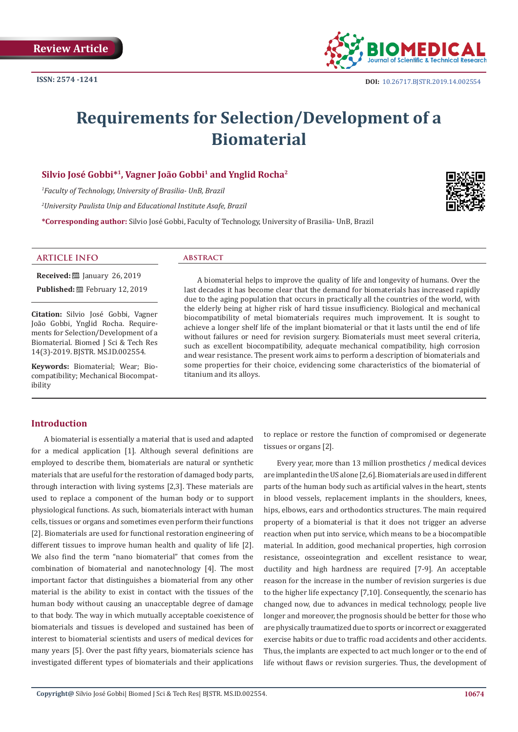

# **Requirements for Selection/Development of a Biomaterial**

# Silvio José Gobbi<sup>\*1</sup>, Vagner João Gobbi<sup>1</sup> and Ynglid Rocha<sup>2</sup>

*1 Faculty of Technology, University of Brasilia- UnB, Brazil*

*2 University Paulista Unip and Educational Institute Asafe, Brazil*

**\*Corresponding author:** Silvio José Gobbi, Faculty of Technology, University of Brasilia- UnB, Brazil

# **ARTICLE INFO abstract**

**Received:** ■ January 26, 2019 Published: **■**February 12, 2019

**Citation:** Silvio José Gobbi, Vagner João Gobbi, Ynglid Rocha. Requirements for Selection/Development of a Biomaterial. Biomed J Sci & Tech Res 14(3)-2019. BJSTR. MS.ID.002554.

**Keywords:** Biomaterial; Wear; Biocompatibility; Mechanical Biocompatibility

A biomaterial helps to improve the quality of life and longevity of humans. Over the last decades it has become clear that the demand for biomaterials has increased rapidly due to the aging population that occurs in practically all the countries of the world, with the elderly being at higher risk of hard tissue insufficiency. Biological and mechanical biocompatibility of metal biomaterials requires much improvement. It is sought to achieve a longer shelf life of the implant biomaterial or that it lasts until the end of life without failures or need for revision surgery. Biomaterials must meet several criteria, such as excellent biocompatibility, adequate mechanical compatibility, high corrosion and wear resistance. The present work aims to perform a description of biomaterials and some properties for their choice, evidencing some characteristics of the biomaterial of titanium and its alloys.

# **Introduction**

A biomaterial is essentially a material that is used and adapted for a medical application [1]. Although several definitions are employed to describe them, biomaterials are natural or synthetic materials that are useful for the restoration of damaged body parts, through interaction with living systems [2,3]. These materials are used to replace a component of the human body or to support physiological functions. As such, biomaterials interact with human cells, tissues or organs and sometimes even perform their functions [2]. Biomaterials are used for functional restoration engineering of different tissues to improve human health and quality of life [2]. We also find the term "nano biomaterial" that comes from the combination of biomaterial and nanotechnology [4]. The most important factor that distinguishes a biomaterial from any other material is the ability to exist in contact with the tissues of the human body without causing an unacceptable degree of damage to that body. The way in which mutually acceptable coexistence of biomaterials and tissues is developed and sustained has been of interest to biomaterial scientists and users of medical devices for many years [5]. Over the past fifty years, biomaterials science has investigated different types of biomaterials and their applications

to replace or restore the function of compromised or degenerate tissues or organs [2].

Every year, more than 13 million prosthetics / medical devices are implanted in the US alone [2,6]. Biomaterials are used in different parts of the human body such as artificial valves in the heart, stents in blood vessels, replacement implants in the shoulders, knees, hips, elbows, ears and orthodontics structures. The main required property of a biomaterial is that it does not trigger an adverse reaction when put into service, which means to be a biocompatible material. In addition, good mechanical properties, high corrosion resistance, osseointegration and excellent resistance to wear, ductility and high hardness are required [7-9]. An acceptable reason for the increase in the number of revision surgeries is due to the higher life expectancy [7,10]. Consequently, the scenario has changed now, due to advances in medical technology, people live longer and moreover, the prognosis should be better for those who are physically traumatized due to sports or incorrect or exaggerated exercise habits or due to traffic road accidents and other accidents. Thus, the implants are expected to act much longer or to the end of life without flaws or revision surgeries. Thus, the development of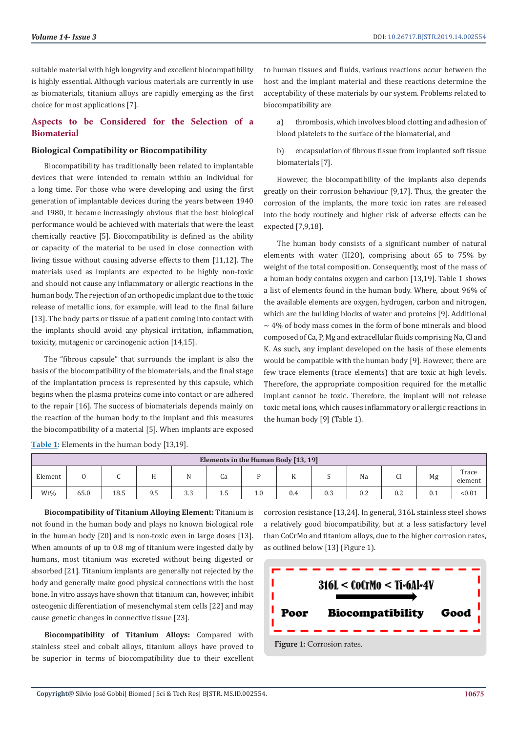suitable material with high longevity and excellent biocompatibility is highly essential. Although various materials are currently in use as biomaterials, titanium alloys are rapidly emerging as the first choice for most applications [7].

# **Aspects to be Considered for the Selection of a Biomaterial**

## **Biological Compatibility or Biocompatibility**

Biocompatibility has traditionally been related to implantable devices that were intended to remain within an individual for a long time. For those who were developing and using the first generation of implantable devices during the years between 1940 and 1980, it became increasingly obvious that the best biological performance would be achieved with materials that were the least chemically reactive [5]. Biocompatibility is defined as the ability or capacity of the material to be used in close connection with living tissue without causing adverse effects to them [11,12]. The materials used as implants are expected to be highly non-toxic and should not cause any inflammatory or allergic reactions in the human body. The rejection of an orthopedic implant due to the toxic release of metallic ions, for example, will lead to the final failure [13]. The body parts or tissue of a patient coming into contact with the implants should avoid any physical irritation, inflammation, toxicity, mutagenic or carcinogenic action [14,15].

The "fibrous capsule" that surrounds the implant is also the basis of the biocompatibility of the biomaterials, and the final stage of the implantation process is represented by this capsule, which begins when the plasma proteins come into contact or are adhered to the repair [16]. The success of biomaterials depends mainly on the reaction of the human body to the implant and this measures the biocompatibility of a material [5]. When implants are exposed

to human tissues and fluids, various reactions occur between the host and the implant material and these reactions determine the acceptability of these materials by our system. Problems related to biocompatibility are

a) thrombosis, which involves blood clotting and adhesion of blood platelets to the surface of the biomaterial, and

b) encapsulation of fibrous tissue from implanted soft tissue biomaterials [7].

However, the biocompatibility of the implants also depends greatly on their corrosion behaviour [9,17]. Thus, the greater the corrosion of the implants, the more toxic ion rates are released into the body routinely and higher risk of adverse effects can be expected [7,9,18].

The human body consists of a significant number of natural elements with water (H2O), comprising about 65 to 75% by weight of the total composition. Consequently, most of the mass of a human body contains oxygen and carbon [13,19]. Table 1 shows a list of elements found in the human body. Where, about 96% of the available elements are oxygen, hydrogen, carbon and nitrogen, which are the building blocks of water and proteins [9]. Additional  $\sim$  4% of body mass comes in the form of bone minerals and blood composed of Ca, P, Mg and extracellular fluids comprising Na, Cl and K. As such, any implant developed on the basis of these elements would be compatible with the human body [9]. However, there are few trace elements (trace elements) that are toxic at high levels. Therefore, the appropriate composition required for the metallic implant cannot be toxic. Therefore, the implant will not release toxic metal ions, which causes inflammatory or allergic reactions in the human body [9] (Table 1).

| Elements in the Human Body [13, 19] |      |      |     |     |    |     |     |     |     |         |     |                  |
|-------------------------------------|------|------|-----|-----|----|-----|-----|-----|-----|---------|-----|------------------|
| Element                             |      |      |     |     | Cа |     | .,  |     | Na  | c.<br>u | Mg  | Trace<br>element |
| Wt%                                 | 65.0 | 18.5 | 9.5 | 3.3 | سد | 1.0 | 0.4 | 0.3 | 0.2 | 0.2     | 0.1 | < 0.01           |

**Table 1:** Elements in the human body [13,19].

**Biocompatibility of Titanium Alloying Element:** Titanium is not found in the human body and plays no known biological role in the human body [20] and is non-toxic even in large doses [13]. When amounts of up to 0.8 mg of titanium were ingested daily by humans, most titanium was excreted without being digested or absorbed [21]. Titanium implants are generally not rejected by the body and generally make good physical connections with the host bone. In vitro assays have shown that titanium can, however, inhibit osteogenic differentiation of mesenchymal stem cells [22] and may cause genetic changes in connective tissue [23].

**Biocompatibility of Titanium Alloys:** Compared with stainless steel and cobalt alloys, titanium alloys have proved to be superior in terms of biocompatibility due to their excellent corrosion resistance [13,24]. In general, 316L stainless steel shows a relatively good biocompatibility, but at a less satisfactory level than CoCrMo and titanium alloys, due to the higher corrosion rates, as outlined below [13] (Figure 1).

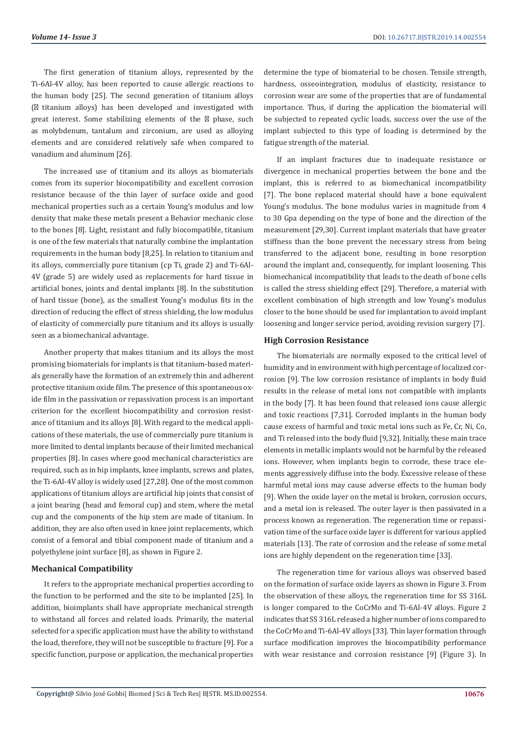The first generation of titanium alloys, represented by the Ti-6Al-4V alloy, has been reported to cause allergic reactions to the human body [25]. The second generation of titanium alloys ( titanium alloys) has been developed and investigated with great interest. Some stabilizing elements of the phase, such as molybdenum, tantalum and zirconium, are used as alloying elements and are considered relatively safe when compared to vanadium and aluminum [26].

The increased use of titanium and its alloys as biomaterials comes from its superior biocompatibility and excellent corrosion resistance because of the thin layer of surface oxide and good mechanical properties such as a certain Young's modulus and low density that make these metals present a Behavior mechanic close to the bones [8]. Light, resistant and fully biocompatible, titanium is one of the few materials that naturally combine the implantation requirements in the human body [8,25]. In relation to titanium and its alloys, commercially pure titanium (cp Ti, grade 2) and Ti-6Al-4V (grade 5) are widely used as replacements for hard tissue in artificial bones, joints and dental implants [8]. In the substitution of hard tissue (bone), as the smallest Young's modulus fits in the direction of reducing the effect of stress shielding, the low modulus of elasticity of commercially pure titanium and its alloys is usually seen as a biomechanical advantage.

Another property that makes titanium and its alloys the most promising biomaterials for implants is that titanium-based materials generally have the formation of an extremely thin and adherent protective titanium oxide film. The presence of this spontaneous oxide film in the passivation or repassivation process is an important criterion for the excellent biocompatibility and corrosion resistance of titanium and its alloys [8]. With regard to the medical applications of these materials, the use of commercially pure titanium is more limited to dental implants because of their limited mechanical properties [8]. In cases where good mechanical characteristics are required, such as in hip implants, knee implants, screws and plates, the Ti-6Al-4V alloy is widely used [27,28]. One of the most common applications of titanium alloys are artificial hip joints that consist of a joint bearing (head and femoral cup) and stem, where the metal cup and the components of the hip stem are made of titanium. In addition, they are also often used in knee joint replacements, which consist of a femoral and tibial component made of titanium and a polyethylene joint surface [8], as shown in Figure 2.

# **Mechanical Compatibility**

It refers to the appropriate mechanical properties according to the function to be performed and the site to be implanted [25]. In addition, bioimplants shall have appropriate mechanical strength to withstand all forces and related loads. Primarily, the material selected for a specific application must have the ability to withstand the load, therefore, they will not be susceptible to fracture [9]. For a specific function, purpose or application, the mechanical properties

determine the type of biomaterial to be chosen. Tensile strength, hardness, osseointegration, modulus of elasticity, resistance to corrosion wear are some of the properties that are of fundamental importance. Thus, if during the application the biomaterial will be subjected to repeated cyclic loads, success over the use of the implant subjected to this type of loading is determined by the fatigue strength of the material.

If an implant fractures due to inadequate resistance or divergence in mechanical properties between the bone and the implant, this is referred to as biomechanical incompatibility [7]. The bone replaced material should have a bone equivalent Young's modulus. The bone modulus varies in magnitude from 4 to 30 Gpa depending on the type of bone and the direction of the measurement [29,30]. Current implant materials that have greater stiffness than the bone prevent the necessary stress from being transferred to the adjacent bone, resulting in bone resorption around the implant and, consequently, for implant loosening. This biomechanical incompatibility that leads to the death of bone cells is called the stress shielding effect [29]. Therefore, a material with excellent combination of high strength and low Young's modulus closer to the bone should be used for implantation to avoid implant loosening and longer service period, avoiding revision surgery [7].

#### **High Corrosion Resistance**

The biomaterials are normally exposed to the critical level of humidity and in environment with high percentage of localized corrosion [9]. The low corrosion resistance of implants in body fluid results in the release of metal ions not compatible with implants in the body [7]. It has been found that released ions cause allergic and toxic reactions [7,31]. Corroded implants in the human body cause excess of harmful and toxic metal ions such as Fe, Cr, Ni, Co, and Ti released into the body fluid [9,32]. Initially, these main trace elements in metallic implants would not be harmful by the released ions. However, when implants begin to corrode, these trace elements aggressively diffuse into the body. Excessive release of these harmful metal ions may cause adverse effects to the human body [9]. When the oxide layer on the metal is broken, corrosion occurs, and a metal ion is released. The outer layer is then passivated in a process known as regeneration. The regeneration time or repassivation time of the surface oxide layer is different for various applied materials [13]. The rate of corrosion and the release of some metal ions are highly dependent on the regeneration time [33].

The regeneration time for various alloys was observed based on the formation of surface oxide layers as shown in Figure 3. From the observation of these alloys, the regeneration time for SS 316L is longer compared to the CoCrMo and Ti-6Al-4V alloys. Figure 2 indicates that SS 316L released a higher number of ions compared to the CoCrMo and Ti-6Al-4V alloys [33]. Thin layer formation through surface modification improves the biocompatibility performance with wear resistance and corrosion resistance [9] (Figure 3). In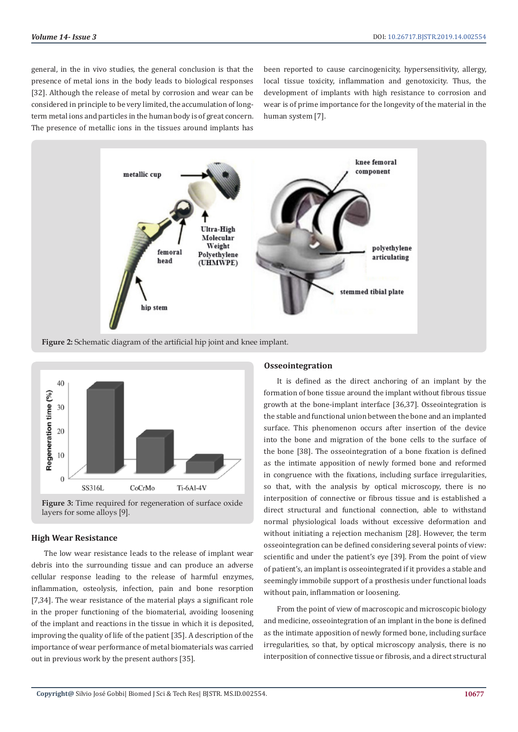general, in the in vivo studies, the general conclusion is that the presence of metal ions in the body leads to biological responses [32]. Although the release of metal by corrosion and wear can be considered in principle to be very limited, the accumulation of longterm metal ions and particles in the human body is of great concern. The presence of metallic ions in the tissues around implants has

been reported to cause carcinogenicity, hypersensitivity, allergy, local tissue toxicity, inflammation and genotoxicity. Thus, the development of implants with high resistance to corrosion and wear is of prime importance for the longevity of the material in the human system [7].



**Figure 2:** Schematic diagram of the artificial hip joint and knee implant.



Figure 3: Time required for regeneration of surface oxide layers for some alloys [9].

# **High Wear Resistance**

The low wear resistance leads to the release of implant wear debris into the surrounding tissue and can produce an adverse cellular response leading to the release of harmful enzymes, inflammation, osteolysis, infection, pain and bone resorption [7,34]. The wear resistance of the material plays a significant role in the proper functioning of the biomaterial, avoiding loosening of the implant and reactions in the tissue in which it is deposited, improving the quality of life of the patient [35]. A description of the importance of wear performance of metal biomaterials was carried out in previous work by the present authors [35].

### **Osseointegration**

It is defined as the direct anchoring of an implant by the formation of bone tissue around the implant without fibrous tissue growth at the bone-implant interface [36,37]. Osseointegration is the stable and functional union between the bone and an implanted surface. This phenomenon occurs after insertion of the device into the bone and migration of the bone cells to the surface of the bone [38]. The osseointegration of a bone fixation is defined as the intimate apposition of newly formed bone and reformed in congruence with the fixations, including surface irregularities, so that, with the analysis by optical microscopy, there is no interposition of connective or fibrous tissue and is established a direct structural and functional connection, able to withstand normal physiological loads without excessive deformation and without initiating a rejection mechanism [28]. However, the term osseointegration can be defined considering several points of view: scientific and under the patient's eye [39]. From the point of view of patient's, an implant is osseointegrated if it provides a stable and seemingly immobile support of a prosthesis under functional loads without pain, inflammation or loosening.

From the point of view of macroscopic and microscopic biology and medicine, osseointegration of an implant in the bone is defined as the intimate apposition of newly formed bone, including surface irregularities, so that, by optical microscopy analysis, there is no interposition of connective tissue or fibrosis, and a direct structural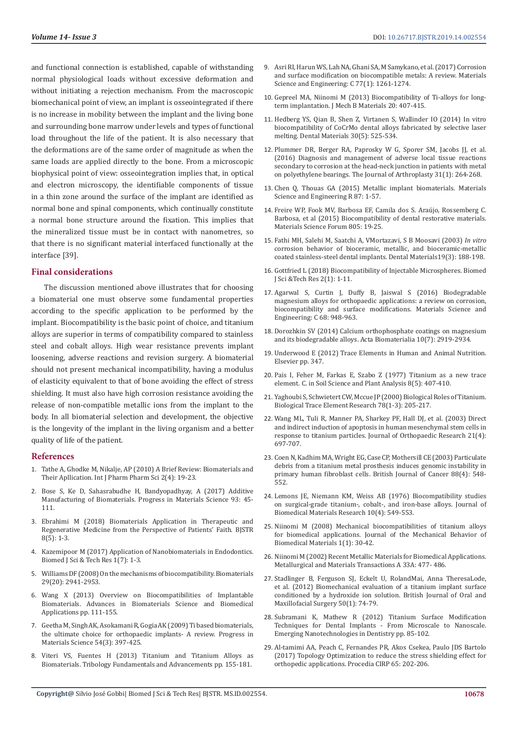and functional connection is established, capable of withstanding normal physiological loads without excessive deformation and without initiating a rejection mechanism. From the macroscopic biomechanical point of view, an implant is osseointegrated if there is no increase in mobility between the implant and the living bone and surrounding bone marrow under levels and types of functional load throughout the life of the patient. It is also necessary that the deformations are of the same order of magnitude as when the same loads are applied directly to the bone. From a microscopic biophysical point of view: osseointegration implies that, in optical and electron microscopy, the identifiable components of tissue in a thin zone around the surface of the implant are identified as normal bone and spinal components, which continually constitute a normal bone structure around the fixation. This implies that the mineralized tissue must be in contact with nanometres, so that there is no significant material interfaced functionally at the interface [39].

#### **Final considerations**

The discussion mentioned above illustrates that for choosing a biomaterial one must observe some fundamental properties according to the specific application to be performed by the implant. Biocompatibility is the basic point of choice, and titanium alloys are superior in terms of compatibility compared to stainless steel and cobalt alloys. High wear resistance prevents implant loosening, adverse reactions and revision surgery. A biomaterial should not present mechanical incompatibility, having a modulus of elasticity equivalent to that of bone avoiding the effect of stress shielding. It must also have high corrosion resistance avoiding the release of non-compatible metallic ions from the implant to the body. In all biomaterial selection and development, the objective is the longevity of the implant in the living organism and a better quality of life of the patient.

#### **References**

- 1. [Tathe A, Ghodke M, Nikalje, AP \(2010\) A Brief Review: Biomaterials and](https://innovareacademics.in/journal/ijpps/Vol2Suppl4/800.pdf)  [Their Apllication. Int J Pharm Pharm Sci 2\(4\): 19-23.](https://innovareacademics.in/journal/ijpps/Vol2Suppl4/800.pdf)
- 2. [Bose S, Ke D, Sahasrabudhe H, Bandyopadhyay, A \(2017\) Additive](https://www.sciencedirect.com/science/article/pii/S0079642517301020)  [Manufacturing of Biomaterials. Progress in Materials Science 93: 45-](https://www.sciencedirect.com/science/article/pii/S0079642517301020) [111.](https://www.sciencedirect.com/science/article/pii/S0079642517301020)
- 3. [Ebrahimi M \(2018\) Biomaterials Application in Therapeutic and](https://biomedres.us/pdfs/BJSTR.MS.ID.001707.pdf)  [Regenerative Medicine from the Perspective of Patients' Faith. BJSTR](https://biomedres.us/pdfs/BJSTR.MS.ID.001707.pdf)  [8\(5\): 1-3.](https://biomedres.us/pdfs/BJSTR.MS.ID.001707.pdf)
- 4. [Kazemipoor M \(2017\) Application of Nanobiomaterials in Endodontics.](https://biomedres.us/pdfs/BJSTR.MS.ID.000566.pdf)  [Biomed J Sci & Tech Res 1\(7\): 1-3.](https://biomedres.us/pdfs/BJSTR.MS.ID.000566.pdf)
- 5. [Williams DF \(2008\) On the mechanisms of biocompatibility. Biomaterials](https://www.ncbi.nlm.nih.gov/pubmed/18440630)  [29\(20\): 2941-2953.](https://www.ncbi.nlm.nih.gov/pubmed/18440630)
- 6. [Wang X \(2013\) Overview on Biocompatibilities of Implantable](https://www.intechopen.com/books/advances-in-biomaterials-science-and-biomedical-applications/overview-on-biocompatibilities-of-implantable-biomaterials)  [Biomaterials. Advances in Biomaterials Science and Biomedical](https://www.intechopen.com/books/advances-in-biomaterials-science-and-biomedical-applications/overview-on-biocompatibilities-of-implantable-biomaterials)  [Applications pp. 111-155.](https://www.intechopen.com/books/advances-in-biomaterials-science-and-biomedical-applications/overview-on-biocompatibilities-of-implantable-biomaterials)
- 7. [Geetha M, Singh AK, Asokamani R, Gogia AK \(2009\) Ti based biomaterials,](https://www.sciencedirect.com/science/article/pii/S0079642508001126)  [the ultimate choice for orthopaedic implants- A review. Progress in](https://www.sciencedirect.com/science/article/pii/S0079642508001126)  [Materials Science 54\(3\): 397-425.](https://www.sciencedirect.com/science/article/pii/S0079642508001126)
- 8. [Viteri VS, Fuentes H \(2013\) Titanium and Titanium Alloys as](https://www.intechopen.com/books/tribology-fundamentals-and-advancements/titanium-and-titanium-alloys-as-biomaterials)  [Biomaterials. Tribology Fundamentals and Advancements pp. 155-181.](https://www.intechopen.com/books/tribology-fundamentals-and-advancements/titanium-and-titanium-alloys-as-biomaterials)
- 9. [Asri RI, Harun WS, Lah NA, Ghani SA, M Samykano, et al. \(2017\) Corrosion](https://www.sciencedirect.com/science/article/pii/S0928493116325619) [and surface modification on biocompatible metals: A review. Materials](https://www.sciencedirect.com/science/article/pii/S0928493116325619) [Science and Engineering: C 77\(1\): 1261-1274.](https://www.sciencedirect.com/science/article/pii/S0928493116325619)
- 10. [Gepreel MA, Niinomi M \(2013\) Biocompatibility of Ti-alloys for long](https://www.sciencedirect.com/science/article/pii/S1751616112003268)[term implantation. J Mech B Materials 20: 407-415.](https://www.sciencedirect.com/science/article/pii/S1751616112003268)
- 11. [Hedberg YS, Qian B, Shen Z, Virtanen S, Wallinder IO \(2014\) In vitro](https://www.ncbi.nlm.nih.gov/pubmed/24598762) [biocompatibility of CoCrMo dental alloys fabricated by selective laser](https://www.ncbi.nlm.nih.gov/pubmed/24598762) [melting. Dental Materials 30\(5\): 525-534.](https://www.ncbi.nlm.nih.gov/pubmed/24598762)
- 12. [Plummer DR, Berger RA, Paprosky W G, Sporer SM, Jacobs JJ, et al.](https://www.ncbi.nlm.nih.gov/pubmed/26321628) [\(2016\) Diagnosis and management of adverse local tissue reactions](https://www.ncbi.nlm.nih.gov/pubmed/26321628) [secondary to corrosion at the head-neck junction in patients with metal](https://www.ncbi.nlm.nih.gov/pubmed/26321628) [on polyethylene bearings. The Journal of Arthroplasty 31\(1\): 264-268.](https://www.ncbi.nlm.nih.gov/pubmed/26321628)
- 13. [Chen Q, Thouas GA \(2015\) Metallic implant biomaterials. Materials](https://www.sciencedirect.com/science/article/pii/S0927796X14001077) [Science and Engineering R 87: 1-57.](https://www.sciencedirect.com/science/article/pii/S0927796X14001077)
- 14. [Freire WP, Fook MV, Barbosa EF, Camila dos S. Araújo, Rossemberg C.](https://www.scientific.net/MSF.805.19) [Barbosa, et al \(2015\) Biocompatibility of dental restorative materials.](https://www.scientific.net/MSF.805.19) [Materials Science Forum 805: 19-25.](https://www.scientific.net/MSF.805.19)
- 15. [Fathi MH, Salehi M, Saatchi A, VMortazavi, S B Moosavi \(2003\)](https://www.sciencedirect.com/science/article/pii/S0109564102000295) *In vitro*  [corrosion behavior of bioceramic, metallic, and bioceramic-metallic](https://www.sciencedirect.com/science/article/pii/S0109564102000295) [coated stainless-steel dental implants. Dental Materials19\(3\): 188-198.](https://www.sciencedirect.com/science/article/pii/S0109564102000295)
- 16. [Gottfried L \(2018\) Biocompatibility of Injectable Microspheres. Biomed](https://biomedres.us/pdfs/BJSTR.MS.ID.000682.pdf) [J Sci &Tech Res 2\(1\): 1-11.](https://biomedres.us/pdfs/BJSTR.MS.ID.000682.pdf)
- 17. [Agarwal S, Curtin J, Duffy B, Jaiswal S \(2016\) Biodegradable](https://www.sciencedirect.com/science/article/pii/S0928493116305902) [magnesium alloys for orthopaedic applications: a review on corrosion,](https://www.sciencedirect.com/science/article/pii/S0928493116305902) [biocompatibility and surface modifications. Materials Science and](https://www.sciencedirect.com/science/article/pii/S0928493116305902) [Engineering: C 68: 948-963.](https://www.sciencedirect.com/science/article/pii/S0928493116305902)
- 18. [Dorozhkin SV \(2014\) Calcium orthophosphate coatings on magnesium](https://www.sciencedirect.com/science/article/pii/S1742706114000786) [and its biodegradable alloys. Acta Biomaterialia 10\(7\): 2919-2934.](https://www.sciencedirect.com/science/article/pii/S1742706114000786)
- 19. [Underwood E \(2012\) Trace Elements in Human and Animal Nutrition.](https://www.ncbi.nlm.nih.gov/pmc/articles/PMC1614294/pdf/vetsci00370-0037.pdf) [Elsevier pp. 347.](https://www.ncbi.nlm.nih.gov/pmc/articles/PMC1614294/pdf/vetsci00370-0037.pdf)
- 20. [Pais I, Feher M, Farkas E, Szabo Z \(1977\) Titanium as a new trace](http://agris.fao.org/agris-search/search.do?recordID=US19770213387) [element. C. in Soil Science and Plant Analysis 8\(5\): 407-410.](http://agris.fao.org/agris-search/search.do?recordID=US19770213387)
- 21. [Yaghoubi S, Schwietert CW, Mccue JP \(2000\) Biological Roles of Titanium.](https://www.ncbi.nlm.nih.gov/pubmed/11314979) [Biological Trace Element Research 78\(1-3\): 205-217.](https://www.ncbi.nlm.nih.gov/pubmed/11314979)
- 22. [Wang ML, Tuli R, Manner PA, Sharkey PF, Hall DJ, et al. \(2003\) Direct](https://www.ncbi.nlm.nih.gov/pubmed/12798071) [and indirect induction of apoptosis in human mesenchymal stem cells in](https://www.ncbi.nlm.nih.gov/pubmed/12798071) [response to titanium particles. Journal of Orthopaedic Research 21\(4\):](https://www.ncbi.nlm.nih.gov/pubmed/12798071) [697-707.](https://www.ncbi.nlm.nih.gov/pubmed/12798071)
- 23. [Coen N, Kadhim MA, Wright EG, Case CP, Mothersill CE \(2003\) Particulate](https://www.ncbi.nlm.nih.gov/pubmed/12592368) [debris from a titanium metal prosthesis induces genomic instability in](https://www.ncbi.nlm.nih.gov/pubmed/12592368) [primary human fibroblast cells. British Journal of Cancer 88\(4\): 548-](https://www.ncbi.nlm.nih.gov/pubmed/12592368) [552.](https://www.ncbi.nlm.nih.gov/pubmed/12592368)
- 24. [Lemons JE, Niemann KM, Weiss AB \(1976\) Biocompatibility studies](https://onlinelibrary.wiley.com/doi/abs/10.1002/jbm.820100411) [on surgical-grade titanium-, cobalt-, and iron-base alloys. Journal of](https://onlinelibrary.wiley.com/doi/abs/10.1002/jbm.820100411) [Biomedical Materials Research 10\(4\): 549-553.](https://onlinelibrary.wiley.com/doi/abs/10.1002/jbm.820100411)
- 25. [Niinomi M \(2008\) Mechanical biocompatibilities of titanium alloys](https://www.sciencedirect.com/science/article/pii/S1751616107000148) [for biomedical applications. Journal of the Mechanical Behavior of](https://www.sciencedirect.com/science/article/pii/S1751616107000148) [Biomedical Materials 1\(1\): 30-42.](https://www.sciencedirect.com/science/article/pii/S1751616107000148)
- 26. [Niinomi M \(2002\) Recent Metallic Materials for Biomedical Applications.](https://link.springer.com/article/10.1007/s11661-002-0109-2) [Metallurgical and Materials Transactions A 33A: 477- 486.](https://link.springer.com/article/10.1007/s11661-002-0109-2)
- 27. [Stadlinger B, Ferguson SJ, Eckelt U, RolandMai, Anna TheresaLode,](https://www.sciencedirect.com/science/article/abs/pii/S0266435610003700) [et al. \(2012\) Biomechanical evaluation of a titanium implant surface](https://www.sciencedirect.com/science/article/abs/pii/S0266435610003700) [conditioned by a hydroxide ion solution. British Journal of Oral and](https://www.sciencedirect.com/science/article/abs/pii/S0266435610003700) [Maxillofacial Surgery 50\(1\): 74-79.](https://www.sciencedirect.com/science/article/abs/pii/S0266435610003700)
- 28. [Subramani K, Mathew R \(2012\) Titanium Surface Modification](https://www.sciencedirect.com/science/article/pii/B9781455778621000067) [Techniques for Dental Implants - From Microscale to Nanoscale.](https://www.sciencedirect.com/science/article/pii/B9781455778621000067) [Emerging Nanotechnologies in Dentistry pp. 85-102.](https://www.sciencedirect.com/science/article/pii/B9781455778621000067)
- 29. [Al-tamimi AA, Peach C, Fernandes PR, Akos Csekea, Paulo JDS Bartolo](https://www.sciencedirect.com/science/article/pii/S2212827117305425) [\(2017\) Topology Optimization to reduce the stress shielding effect for](https://www.sciencedirect.com/science/article/pii/S2212827117305425) [orthopedic applications. Procedia CIRP 65: 202-206.](https://www.sciencedirect.com/science/article/pii/S2212827117305425)